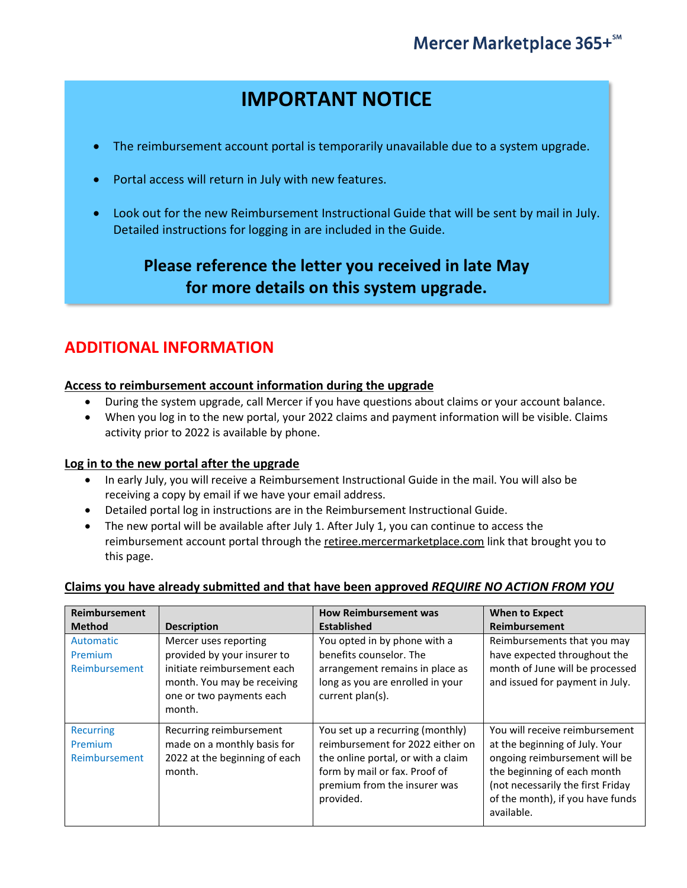# **IMPORTANT NOTICE**

- The reimbursement account portal is temporarily unavailable due to a system upgrade.
- Portal access will return in July with new features.
- Look out for the new Reimbursement Instructional Guide that will be sent by mail in July. Detailed instructions for logging in are included in the Guide.

## **Please reference the letter you received in late May for more details on this system upgrade.**

### **ADDITIONAL INFORMATION**

### **Access to reimbursement account information during the upgrade**

- During the system upgrade, call Mercer if you have questions about claims or your account balance.
- When you log in to the new portal, your 2022 claims and payment information will be visible. Claims activity prior to 2022 is available by phone.

### **Log in to the new portal after the upgrade**

- In early July, you will receive a Reimbursement Instructional Guide in the mail. You will also be receiving a copy by email if we have your email address.
- Detailed portal log in instructions are in the Reimbursement Instructional Guide.
- The new portal will be available after July 1. After July 1, you can continue to access the reimbursement account portal through the retiree.mercermarketplace.com link that brought you to this page.

### **Claims you have already submitted and that have been approved** *REQUIRE NO ACTION FROM YOU*

| Reimbursement<br><b>Method</b>               | <b>Description</b>                                                                                                                                       | <b>How Reimbursement was</b><br><b>Established</b>                                                                                                                                       | <b>When to Expect</b><br>Reimbursement                                                                                                                                                                                  |
|----------------------------------------------|----------------------------------------------------------------------------------------------------------------------------------------------------------|------------------------------------------------------------------------------------------------------------------------------------------------------------------------------------------|-------------------------------------------------------------------------------------------------------------------------------------------------------------------------------------------------------------------------|
| Automatic<br>Premium<br>Reimbursement        | Mercer uses reporting<br>provided by your insurer to<br>initiate reimbursement each<br>month. You may be receiving<br>one or two payments each<br>month. | You opted in by phone with a<br>benefits counselor. The<br>arrangement remains in place as<br>long as you are enrolled in your<br>current plan(s).                                       | Reimbursements that you may<br>have expected throughout the<br>month of June will be processed<br>and issued for payment in July.                                                                                       |
| <b>Recurring</b><br>Premium<br>Reimbursement | Recurring reimbursement<br>made on a monthly basis for<br>2022 at the beginning of each<br>month.                                                        | You set up a recurring (monthly)<br>reimbursement for 2022 either on<br>the online portal, or with a claim<br>form by mail or fax. Proof of<br>premium from the insurer was<br>provided. | You will receive reimbursement<br>at the beginning of July. Your<br>ongoing reimbursement will be<br>the beginning of each month<br>(not necessarily the first Friday<br>of the month), if you have funds<br>available. |